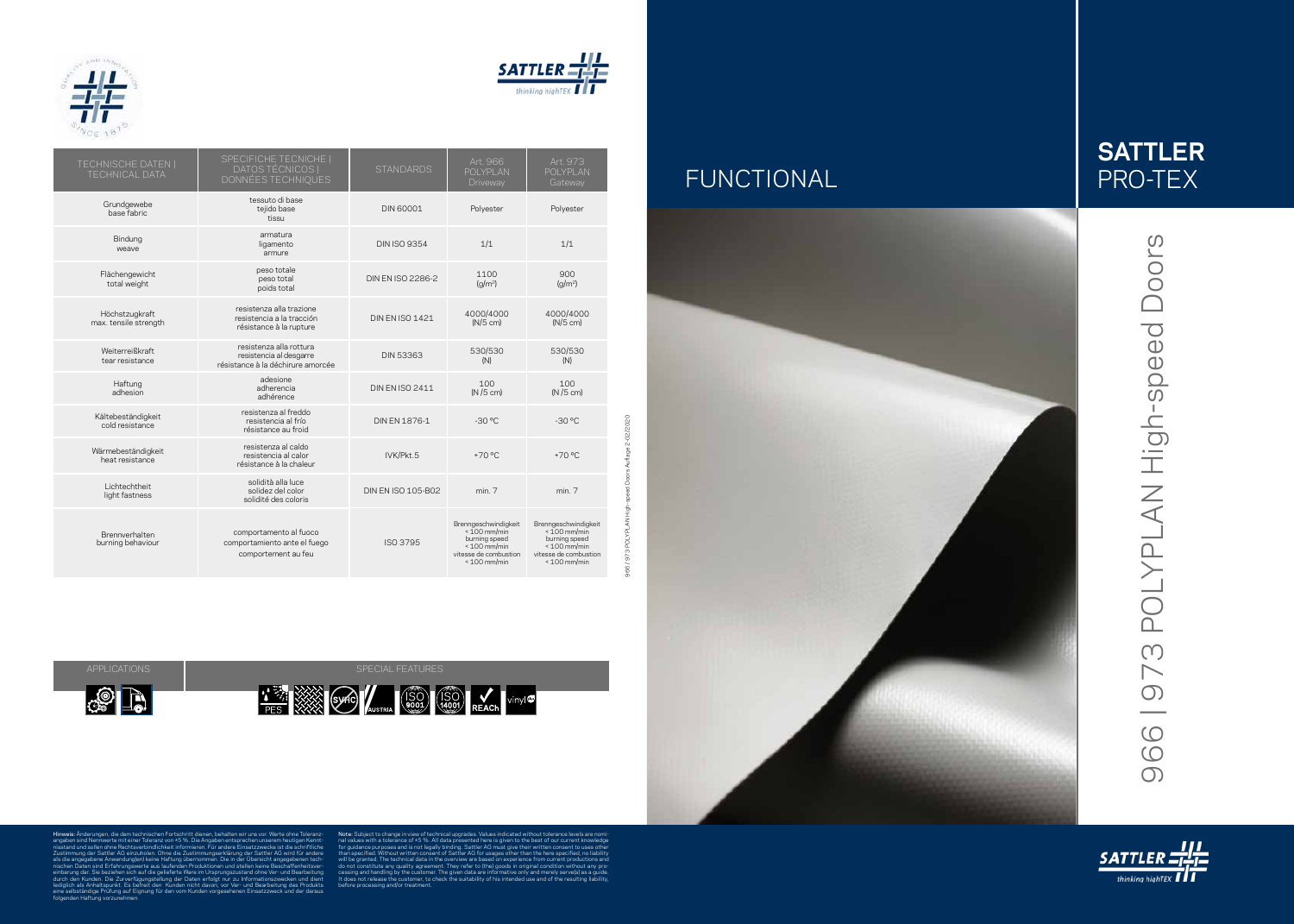



966 / 973 POLYPLAN High-speed Doors Auflage 2-02/2020

Hinweis: Änderungen, die dem technischen Fortschritt dienen, behalten wir uns vor. Werte ohne Toleranz angaben sind Nennwerte mit einer Toleranz von ±5 %. Die Angaben entsprechen unserem heutigen Kennt nisstand und sollen ohne Rechtsverbindlichkeit informieren. Für andere Einsatzzwecke ist die schriftliche Zustimmung der Sattler AG einzuholen. Ohne die Zustimmungserklärung der Sattler AG wird für andere als die angegebene Anwendung(en) keine Haftung übernommen. Die in der Übersicht angegebenen tech nischen Daten sind Erfahrungswerte aus laufenden Produktionen und stellen keine Beschaffenheitsver einbarung dar. Sie beziehen sich auf die gelieferte Ware im Ursprungszustand ohne Ver- und Bearbeitung durch den Kunden. Die Zurverfügungstellung der Daten erfolgt nur zu Informationszwecken und dient lediglich als Anhaltspunkt. Es befreit den Kunden nicht davon, vor Ver- und Bearbeitung des Produkts eine selbständige Prüfung auf Eignung für den vom Kunden vorgesehenen Einsatzzweck und der daraus folgenden Haftung vorzunehmen. Note: Subject to change in view of technical upgrades. Values indicated without tolerance levels are nomi 966 | 973 POLYPLAN High-speed Doors 966 | 973 POLYPLAN High-speed Doors



nal values with a tolerance of ±5 %. All data presented here is given to the best of our current knowledge for guidance purposes and is not legally binding. Sattler AG must give their written consent to uses other than specified. Without written consent of Sattler AG for usages other than the here specified, no liability will be granted. The technical data in the overview are based on experience from current productions and do not constitute any quality agreement. They refer to (the) goods in original co cessing and handling by the customer. The given data are informative only and merely serve(s) as a guide. It does not release the customer, to check the suitability of his intended use and of the resulting liability, before processing and/or treatment.













| <b>TECHNISCHE DATEN  </b><br><b>TECHNICAL DATA</b> | SPECIFICHE TECNICHE  <br>DATOS TÉCNICOS  <br>DONNÉES TECHNIQUES                         | <b>STANDARDS</b>          | Art. 966<br>POLYPLAN<br>Driveway                                                                                     | Art. 973<br>POLYPLAN<br>Gateway                                                                                      |
|----------------------------------------------------|-----------------------------------------------------------------------------------------|---------------------------|----------------------------------------------------------------------------------------------------------------------|----------------------------------------------------------------------------------------------------------------------|
| Grundgewebe<br>base fabric                         | tessuto di base<br>tejido base<br>tissu                                                 | <b>DIN 60001</b>          | Polyester                                                                                                            | Polyester                                                                                                            |
| Bindung<br>weave                                   | armatura<br>ligamento<br>armure                                                         | <b>DIN ISO 9354</b>       | 1/1                                                                                                                  | 1/1                                                                                                                  |
| Flächengewicht<br>total weight                     | peso totale<br>peso total<br>poids total                                                | DIN EN ISO 2286-2         | 1100<br>(q/m <sup>2</sup> )                                                                                          | 900<br>(q/m <sup>2</sup> )                                                                                           |
| Höchstzugkraft<br>max. tensile strength            | resistenza alla trazione<br>resistencia a la tracción<br>résistance à la rupture        | <b>DIN EN ISO 1421</b>    | 4000/4000<br>$(N/5$ cm)                                                                                              | 4000/4000<br>$(N/5$ cm)                                                                                              |
| Weiterreißkraft<br>tear resistance                 | resistenza alla rottura<br>resistencia al desgarre<br>résistance à la déchirure amorcée | DIN 53363                 | 530/530<br>(N)                                                                                                       | 530/530<br>(N)                                                                                                       |
| Haftung<br>adhesion                                | adesione<br>adherencia<br>adhérence                                                     | <b>DIN EN ISO 2411</b>    | 100<br>$(N/5$ cm)                                                                                                    | 100<br>$(N/5$ cm)                                                                                                    |
| Kältebeständigkeit<br>cold resistance              | resistenza al freddo<br>resistencia al frío<br>résistance au froid                      | DIN EN 1876-1             | $-30 °C$                                                                                                             | $-30 °C$                                                                                                             |
| Wärmebeständigkeit<br>heat resistance              | resistenza al caldo<br>resistencia al calor<br>résistance à la chaleur                  | IVK/Pkt.5                 | $+70$ °C                                                                                                             | $+70 °C$                                                                                                             |
| Lichtechtheit<br>light fastness                    | solidità alla luce<br>solidez del color<br>solidité des coloris                         | <b>DIN EN ISO 105-B02</b> | min.7                                                                                                                | min. 7                                                                                                               |
| Brennverhalten<br>burning behaviour                | comportamento al fuoco<br>comportamiento ante el fuego<br>comportement au feu           | ISO 3795                  | Brenngeschwindigkeit<br>$< 100$ mm/min<br>burning speed<br>$< 100$ mm/min<br>vitesse de combustion<br>$< 100$ mm/min | Brenngeschwindigkeit<br>$< 100$ mm/min<br>burning speed<br>$< 100$ mm/min<br>vitesse de combustion<br>$< 100$ mm/min |